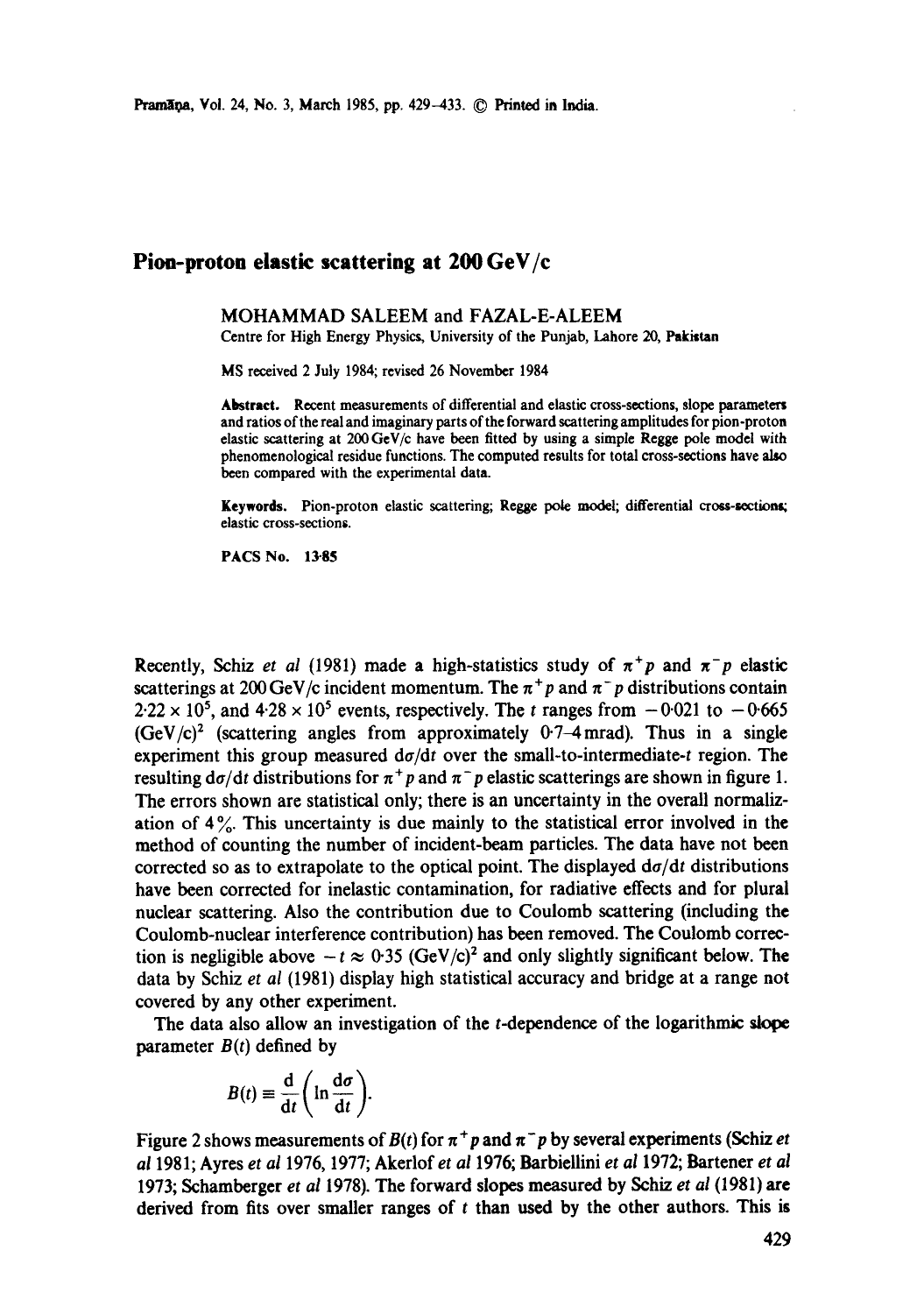## **Pion-proton elastic scattering at 200 GeV/c**

## MOHAMMAD SALEEM and FAZAL-E-ALEEM

Centre for High Energy Physics, University of the Punjab, Lahore 20, Pakistan

MS received 2 July 1984; revised 26 November 1984

**Abstract.** Recent measurements of differential and elastic cross-sections, slope parameters and ratios of the real and imaginary parts of the forward scattering amplitudes for pion-proton elastic scattering at 200 GeV/c have been fitted by using a simple Regge pole model with phenomenological residue functions. The computed results for total cross-sections have also been compared with the experimental data.

Keywords. Pion-proton elastic scattering; Regge pole model; differential cross-sections; elastic cross-sections.

PACS No. 13-85

Recently, Schiz *et al* (1981) made a high-statistics study of  $\pi^+p$  and  $\pi^-p$  elastic scatterings at 200 GeV/c incident momentum. The  $\pi^+p$  and  $\pi^-p$  distributions contain  $2.22 \times 10^5$ , and  $4.28 \times 10^5$  events, respectively. The t ranges from  $-0.021$  to  $-0.665$  $(GeV/c)^2$  (scattering angles from approximately 0.7–4 mrad). Thus in a single experiment this group measured  $d\sigma/dt$  over the small-to-intermediate-t region. The resulting  $d\sigma/dt$  distributions for  $\pi^+p$  and  $\pi^-p$  elastic scatterings are shown in figure 1. The errors shown are statistical only; there is an uncertainty in the overall normalization of 4 %. This uncertainty is due mainly to the statistical error involved in the method of counting the number of incident-beam particles. The data have not been corrected so as to extrapolate to the optical point. The displayed  $d\sigma/dt$  distributions have been corrected for inelastic contamination, for radiative effects and for plural nuclear scattering. Also the contribution due to Coulomb scattering (including the Coulomb-nuclear interference contribution) has been removed. The Coulomb correction is negligible above  $-t \approx 0.35$  (GeV/c)<sup>2</sup> and only slightly significant below. The data by Schiz *et al* (1981) display high statistical accuracy and bridge at a range not covered by any other experiment.

The data also allow an investigation of the t-dependence of the logarithmic slope parameter  $B(t)$  defined by

$$
B(t) \equiv \frac{d}{dt} \left( \ln \frac{d\sigma}{dt} \right).
$$

Figure 2 shows measurements of  $B(t)$  for  $\pi^+p$  and  $\pi^-p$  by several experiments (Schiz *et al* 1981; Ayres *et al* 1976, 1977; Akerlof *et al* 1976; Barbiellini *et al* 1972; Bartener *et al*  1973; Schamberger *et al* 1978). The forward slopes measured by Schiz *et al* (1981) **are**  derived from fits over smaller ranges of  $t$  than used by the other authors. This is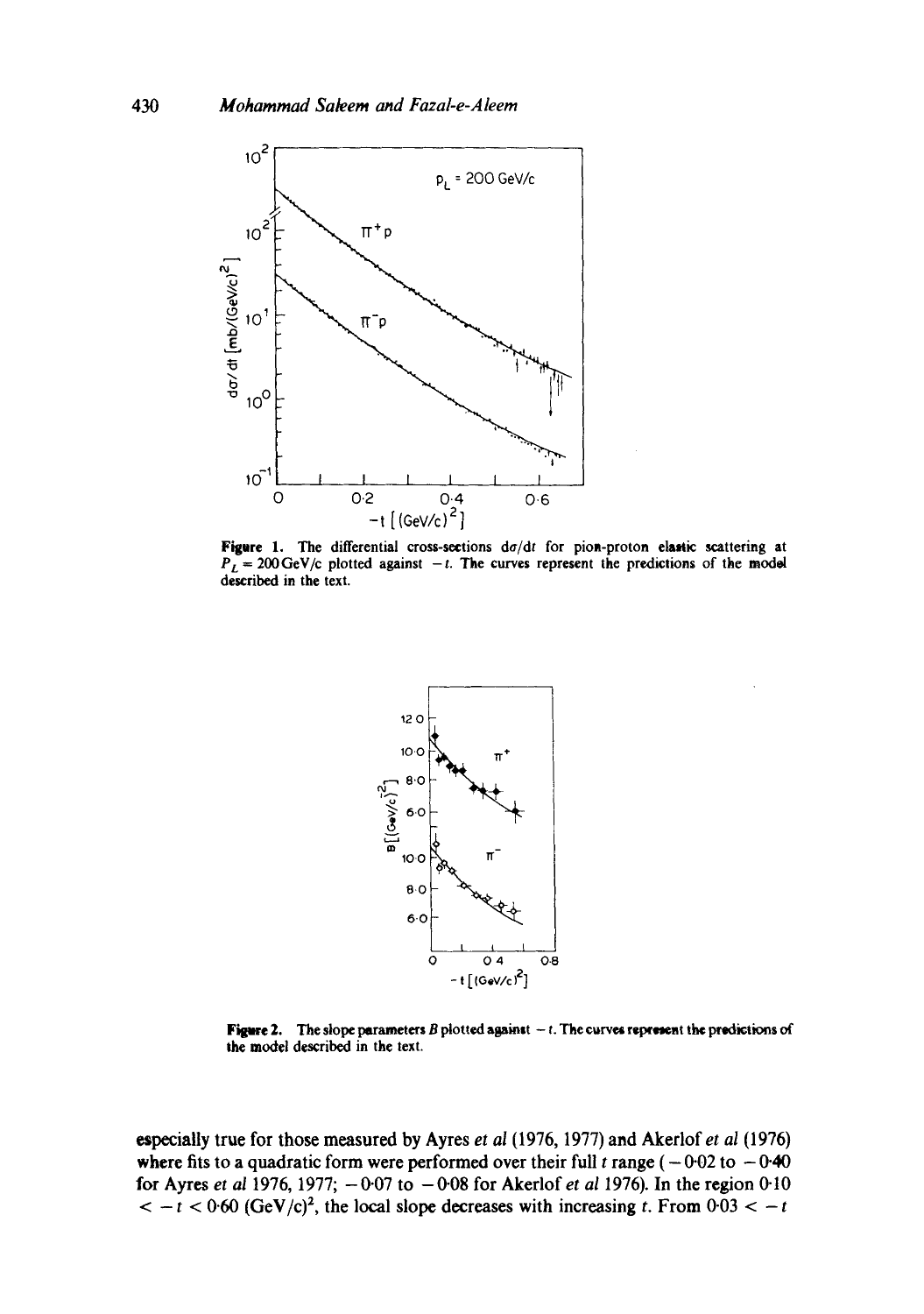

Figure l. The differential cross-scetions *da/dt* for piom-proton elaatic scattering at  $P_L = 200 \,\text{GeV/c}$  plotted against -t. The curves represent the predictions of the model described in the text.



**Figure 2.** The slope parameters B plotted against  $-$  t. The curves represent the predictions of the model described in the text.

~pecially true for those measured by Ayres *et al* (1976, 1977) and Akerlof *et al* (1976) where fits to a quadratic form were performed over their full t range ( $-0.02$  to  $-0.40$ ) for Ayres *et al* 1976, 1977; -007 to -008 for Akerlof *et al* 1976). In the region 0.10  $<-t<0.60$  (GeV/c)<sup>2</sup>, the local slope decreases with increasing t. From  $0.03<-t$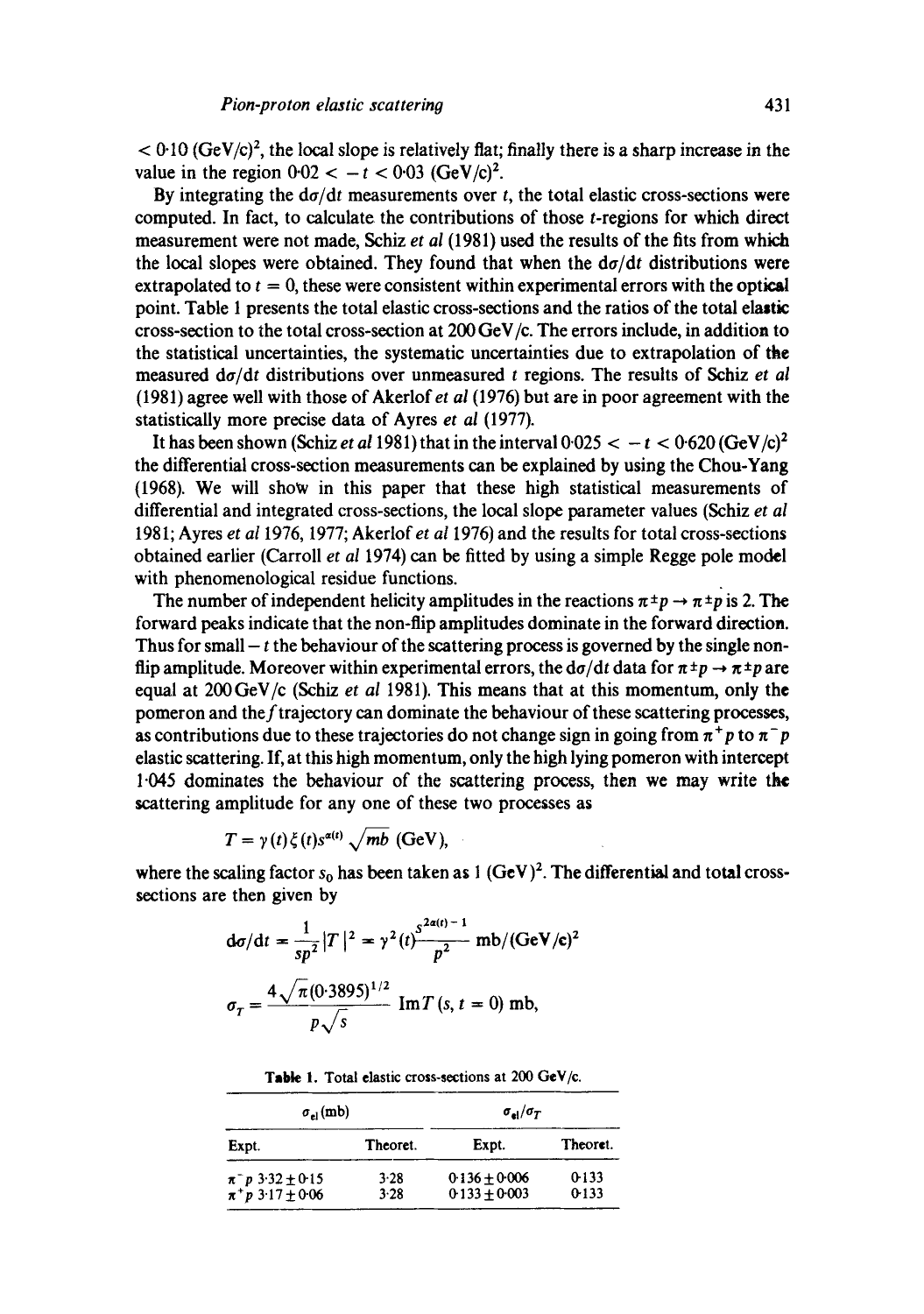$< 0.10$  (GeV/c)<sup>2</sup>, the local slope is relatively flat; finally there is a sharp increase in the value in the region  $0.02 < -t < 0.03$  (GeV/c)<sup>2</sup>.

By integrating the  $d\sigma/dt$  measurements over t, the total elastic cross-sections were computed. In fact, to calculate the contributions of those t-regions for which direct measurement were not made, Schiz *et al* (1981) used the results of the fits from which the local slopes were obtained. They found that when the *da/dt* distributions were extrapolated to  $t = 0$ , these were consistent within experimental errors with the optical point. Table 1 presents the total elastic cross-sections and the ratios of the total elastic cross-section to the total cross-section at 200 GeV/c. The errors include, in addition to the statistical uncertainties, the systematic uncertainties due to extrapolation of the measured *da/dt* distributions over unmeasured t regions. The results of Schiz *et al*  (1981) agree well with those of Akerlof et *al* (1976) but are in poor agreement with the statistically more precise data of Ayres *et al* (1977).

It has been shown (Schiz *et al* 1981) that in the interval  $0.025 < -t < 0.620$  (GeV/c)<sup>2</sup> the differential cross-section measurements can be explained by using the Chou-Yang (1968). We will show in this paper that these high statistical measurements of differential and integrated cross-sections, the local slope parameter values (Schiz *et al*  1981; Ayres *et a11976,* 1977; Akerlof et *al* 1976) and the results for total cross-sections obtained earlier (Carroll *et al* 1974) can be fitted by using a simple Regge pole model with phenomenological residue functions.

The number of independent helicity amplitudes in the reactions  $\pi^{\pm}p \rightarrow \pi^{\pm}p$  is 2. The forward peaks indicate that the non-flip amplitudes dominate in the forward direction. Thus for small  $-t$  the behaviour of the scattering process is governed by the single nonflip amplitude. Moreover within experimental errors, the  $d\sigma/dt$  data for  $\pi \pm p \rightarrow \pi \pm p$  are equal at 200GeV/c (Schiz *et al* 1981). This means that at this momentum, only the pomeron and theftrajectory can dominate the behaviour of these scattering processes, as contributions due to these trajectories do not change sign in going from  $\pi^+p$  to  $\pi^-p$ elastic scattering. If, at this high momentum, only the high lying pomeron with intercept 1-045 dominates the bchaviour of the scattering process, then we may write the scattering amplitude for any one of these two processes as

$$
T = \gamma(t)\xi(t)s^{\alpha(t)}\sqrt{mb}(\text{GeV}),
$$

where the scaling factor  $s_0$  has been taken as 1 (GeV)<sup>2</sup>. The differential and total crosssections are then given by

$$
d\sigma/dt = \frac{1}{sp^2} |T|^2 = \gamma^2(t) \frac{s^{2\alpha(t)-1}}{p^2} mb/(GeV/c)^2
$$

$$
\sigma_T = \frac{4\sqrt{\pi} (0.3895)^{1/2}}{p\sqrt{s}} Im T (s, t = 0) mb,
$$

| $\sigma_{\rm el}$ (mb)                             |              | $\sigma_{el}/\sigma_{T}$           |                |
|----------------------------------------------------|--------------|------------------------------------|----------------|
| Expt.                                              | Theoret.     | Expt.                              | Theoret.       |
| $\pi^- p 3.32 \pm 0.15$<br>$\pi^+ p 3.17 \pm 0.06$ | 3.28<br>3.28 | $0.136 + 0.006$<br>$0.133 + 0.003$ | 0.133<br>0.133 |

Table 1. Total elastic cross-sections at 200 GeV/c.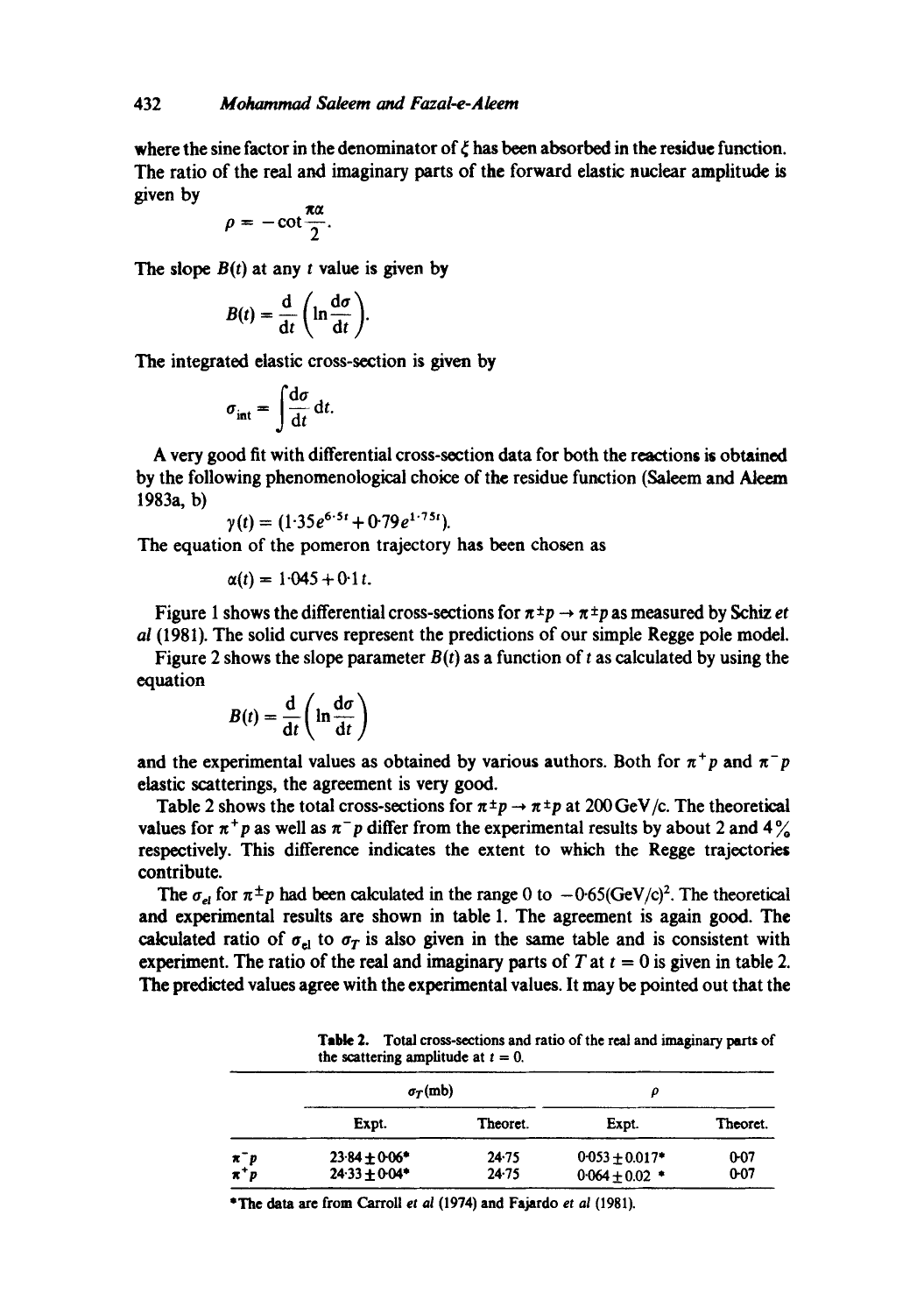where the sine factor in the denominator of  $\zeta$  has been absorbed in the residue function. The ratio of the real and imaginary parts of the forward elastic nuclear amplitude is given by

$$
\rho=-\cot\frac{\pi\alpha}{2}.
$$

The slope  $B(t)$  at any t value is given by

$$
B(t)=\frac{\mathrm{d}}{\mathrm{d}t}\left(\ln\frac{\mathrm{d}\sigma}{\mathrm{d}t}\right).
$$

The integrated elastic cross-section is given by

$$
\sigma_{\rm int} = \int \frac{\mathrm{d}\sigma}{\mathrm{d}t} \, \mathrm{d}t.
$$

A very good fit with differential cross-section data for both the reactions is obtained by the following phenomenological choice of the residue function (Saleem and Aleem 1983a, b)

$$
\gamma(t) = (1.35e^{6.5t} + 0.79e^{1.75t}).
$$

The equation of the pomeron trajectory has been chosen as

$$
\alpha(t) = 1.045 + 0.1 t.
$$

Figure 1 shows the differential cross-sections for  $\pi \pm p \rightarrow \pi \pm p$  as measured by Schiz *et ai* (1981). The solid curves represent the predictions of our simple Regge pole model.

Figure 2 shows the slope parameter  $B(t)$  as a function of t as calculated by using the equation

$$
B(t) = \frac{\mathrm{d}}{\mathrm{d}t} \left( \ln \frac{\mathrm{d}\sigma}{\mathrm{d}t} \right)
$$

and the experimental values as obtained by various authors. Both for  $\pi^+p$  and  $\pi^-p$ elastic scatterings, the agreement is very good.

Table 2 shows the total cross-sections for  $\pi^{\pm}p \rightarrow \pi^{\pm}p$  at 200 GeV/c. The theoretical values for  $\pi^+p$  as well as  $\pi^-p$  differ from the experimental results by about 2 and 4% respectively. This difference indicates the extent to which the Regge trajectories contribute.

The  $\sigma_{el}$  for  $\pi^{\pm}p$  had been calculated in the range 0 to  $-0.65(\text{GeV/c})^2$ . The theoretical and experimental results are shown in table 1. The agreement is again good. The calculated ratio of  $\sigma_{el}$  to  $\sigma_T$  is also given in the same table and is consistent with experiment. The ratio of the real and imaginary parts of T at  $t = 0$  is given in table 2. The predicted values agree with the experimental values. It may be pointed out that the

|       | <b>Table 2.</b> Total cross-sections and ratio of the real and imaginary parts of<br>the scattering amplitude at $t = 0$ . |       |          |  |
|-------|----------------------------------------------------------------------------------------------------------------------------|-------|----------|--|
|       | $\sigma_T$ (mb)                                                                                                            |       |          |  |
| Expt. | Theoret.                                                                                                                   | Expt. | Theoret. |  |

 $\pi^-p$  23.84  $\pm 0.06^*$  24.75 0.053  $\pm 0.017^*$  0.07  $\pi^+p$  24.33 $\pm$ 0.04\* 24.75 0.064 $\pm$ 0.02 \* 0.07

• The data are from Carroll et *al* (1974) and Fajardo *et al* (1981).